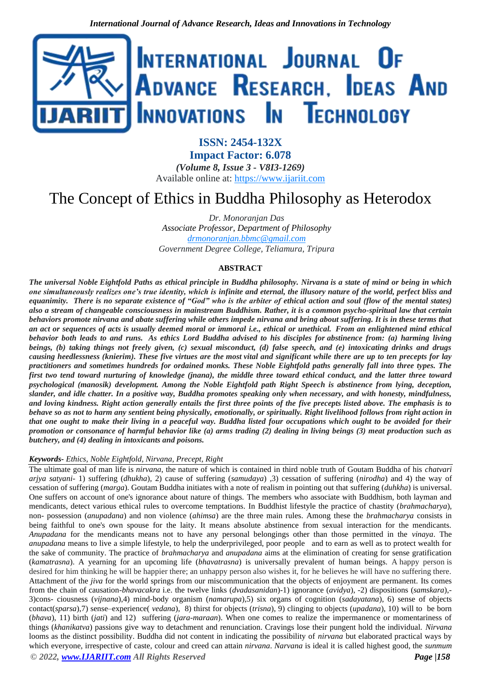

**ISSN: 2454-132X Impact Factor: 6.078** *(Volume 8, Issue 3 - V8I3-1269)* Available online at: [https://www.ijariit.com](https://www.ijariit.com/?utm_source=pdf&utm_medium=edition&utm_campaign=OmAkSols&utm_term=V8I3-1269)

# The Concept of Ethics in Buddha Philosophy as Heterodox

*Dr. Monoranjan Das Associate Professor, Department of Philosophy [drmonoranjan.bbmc@gmail.com](mailto:drmonoranjan.bbmc@gmail.com) Government Degree College, Teliamura, Tripura*

### **ABSTRACT**

*The universal Noble Eightfold Paths as ethical principle in Buddha philosophy. Nirvana is a state of mind or being in which one simultaneously realizes one's true identity, which is infinite and eternal, the illusory nature of the world, perfect bliss and equanimity. There is no separate existence of "God" who is the arbiter of ethical action and soul (flow of the mental states) also a stream of changeable consciousness in mainstream Buddhism. Rather, it is a common psycho-spiritual law that certain behaviors promote nirvana and abate suffering while others impede nirvana and bring about suffering. It is in these terms that an act or sequences of acts is usually deemed moral or immoral i.e., ethical or unethical. From an enlightened mind ethical behavior both leads to and runs. As ethics Lord Buddha advised to his disciples for abstinence from: (a) harming living beings, (b) taking things not freely given, (c) sexual misconduct, (d) false speech, and (e) intoxicating drinks and drugs causing heedlessness (knierim). These five virtues are the most vital and significant while there are up to ten precepts for lay practitioners and sometimes hundreds for ordained monks. These Noble Eightfold paths generally fall into three types. The first two tend toward nurturing of knowledge (jnana), the middle three toward ethical conduct, and the latter three toward psychological (manosik) development. Among the Noble Eightfold path Right Speech is abstinence from lying, deception, slander, and idle chatter. In a positive way, Buddha promotes speaking only when necessary, and with honesty, mindfulness, and loving kindness. Right action generally entails the first three points of the five precepts listed above. The emphasis is to behave so as not to harm any sentient being physically, emotionally, or spiritually. Right livelihood follows from right action in that one ought to make their living in a peaceful way. Buddha listed four occupations which ought to be avoided for their promotion or consonance of harmful behavior like (a) arms trading (2) dealing in living beings (3) meat production such as butchery, and (4) dealing in intoxicants and poisons.*

#### *Keywords- Ethics, Noble Eightfold, Nirvana, Precept, Right*

*© 2022, [www.IJARIIT.com](file:///C:/omak/Downloads/www.IJARIIT.com) All Rights Reserved Page |158* The ultimate goal of man life is *nirvana*, the nature of which is contained in third noble truth of Goutam Buddha of his *chatvari arjya satyani*- 1) suffering (*dhukha*)*,* 2) cause of suffering (*samudaya*) *,*3) cessation of suffering (*nirodha*) and 4) the way of cessation of suffering (*marga*). Goutam Buddha initiates with a note of realism in pointing out that suffering (*duhkha*) is universal. One suffers on account of one's ignorance about nature of things. The members who associate with Buddhism, both layman and mendicants, detect various ethical rules to overcome temptations. In Buddhist lifestyle the practice of chastity (*brahmacharya*), non- possession (*anupadana*) and non violence (*ahimsa*) are the three main rules. Among these the *brahmacharya* consists in being faithful to one's own spouse for the laity. It means absolute abstinence from sexual interaction for the mendicants. *Anupadana* for the mendicants means not to have any personal belongings other than those permitted in the *vinaya*. The *anupadana* means to live a simple lifestyle, to help the underprivileged, poor people and to earn as well as to protect wealth for the sake of community. The practice of *brahmacharya* and *anupadana* aims at the elimination of creating for sense gratification (*kamatrasna*). A yearning for an upcoming life (*bhavatrasna*) is universally prevalent of human beings. A happy person is desired for him thinking he will be happier there; an unhappy person also wishes it, for he believes he will have no suffering there. Attachment of the *jiva* for the world springs from our miscommunication that the objects of enjoyment are permanent. Its comes from the chain of causation-*bhavacakra* i.e. the twelve links (*dvadasanidan*)-1) ignorance (*avidya*), -2) dispositions (*samskara*),- 3)cons- ciousness (*vijnana*),4) mind-body organism (*namarupa*),5) six organs of cognition (*sadayatana*), 6) sense of objects contact(*sparsa*),7) sense–experience( *vedana*), 8) thirst for objects (*trisna*), 9) clinging to objects (*upadana*), 10) will to be born (*bhava*), 11) birth (*jati*) and 12) suffering (*jara-maraan*). When one comes to realize the impermanence or momentariness of things (*khanikatva*) passions give way to detachment and renunciation. Cravings lose their pungent hold the individual. *Nirvana* looms as the distinct possibility. Buddha did not content in indicating the possibility of *nirvana* but elaborated practical ways by which everyone, irrespective of caste, colour and creed can attain *nirvana*. *Narvana* is ideal it is called highest good, the *sunmum*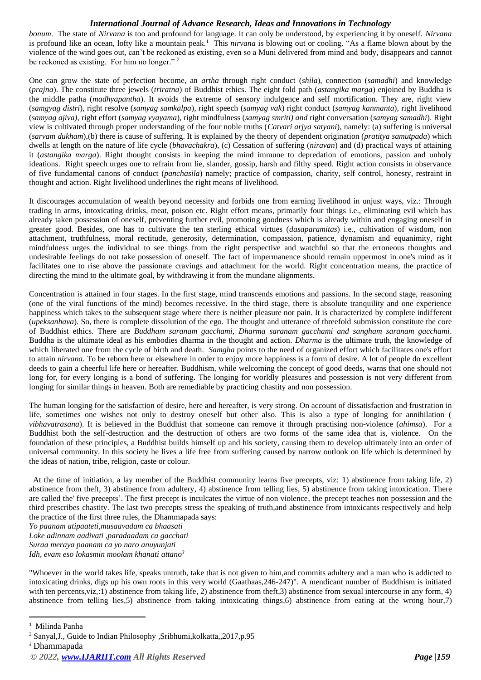### *International Journal of Advance Research, Ideas and Innovations in Technology*

*bonum*. The state of *Nirvana* is too and profound for language. It can only be understood, by experiencing it by oneself. *Nirvana* is profound like an ocean, lofty like a mountain peak.<sup>1</sup> This *nirvana* is blowing out or cooling. "As a flame blown about by the violence of the wind goes out, can't be reckoned as existing, even so a Muni delivered from mind and body, disappears and cannot be reckoned as existing. For him no longer."<sup>2</sup>

One can grow the state of perfection become, an *artha* through right conduct (*shila*), connection (*samadhi*) and knowledge (*prajna*). The constitute three jewels (*triratna*) of Buddhist ethics. The eight fold path (*astangika marga*) enjoined by Buddha is the middle patha (*madhyapantha*). It avoids the extreme of sensory indulgence and self mortification. They are, right view (*samgyag distri*), right resolve (*samyag samkalpa*), right speech (*samyag vak*) right conduct (*samyag kanmanta*), right livelihood (*samyag ajiva),* right effort (*samyag vyayama*), right mindfulness (*samyag smriti) and* right conversation (*samyag samadhi*). Right view is cultivated through proper understanding of the four noble truths (*Catvari arjya satyani*), namely: (a) suffering is universal (*sarvam dukham*),(b) there is cause of suffering. It is explained by the theory of dependent origination (*pratitya samutpada*) which dwells at length on the nature of life cycle (*bhavachakra*), (c) Cessation of suffering (*niravan*) and (d) practical ways of attaining it (*astangika marga*). Right thought consists in keeping the mind immune to depredation of emotions, passion and unholy ideations. Right speech urges one to refrain from lie, slander, gossip, harsh and filthy speed. Right action consists in observance of five fundamental canons of conduct (*panchasila*) namely; practice of compassion, charity, self control, honesty, restraint in thought and action. Right livelihood underlines the right means of livelihood.

It discourages accumulation of wealth beyond necessity and forbids one from earning livelihood in unjust ways, viz.: Through trading in arms, intoxicating drinks, meat, poison etc. Right effort means, primarily four things i.e., eliminating evil which has already taken possession of oneself, preventing further evil, promoting goodness which is already within and engaging oneself in greater good. Besides, one has to cultivate the ten sterling ethical virtues (*dasaparamitas*) i.e., cultivation of wisdom, non attachment, truthfulness, moral rectitude, generosity, determination, compassion, patience, dynamism and equanimity, right mindfulness urges the individual to see things from the right perspective and watchful so that the erroneous thoughts and undesirable feelings do not take possession of oneself. The fact of impermanence should remain uppermost in one's mind as it facilitates one to rise above the passionate cravings and attachment for the world. Right concentration means, the practice of directing the mind to the ultimate goal, by withdrawing it from the mundane alignments.

Concentration is attained in four stages. In the first stage, mind transcends emotions and passions. In the second stage, reasoning (one of the viral functions of the mind) becomes recessive. In the third stage, there is absolute tranquility and one experience happiness which takes to the subsequent stage where there is neither pleasure nor pain. It is characterized by complete indifferent (*upeksanhava*). So, there is complete dissolution of the ego. The thought and utterance of threefold submission constitute the core of Buddhist ethics. There are *Buddham saranam gacchami, Dharma saranam gacchami and sangham saranam gacchami*. Buddha is the ultimate ideal as his embodies dharma in the thought and action. *Dharma* is the ultimate truth, the knowledge of which liberated one from the cycle of birth and death. *Samgha* points to the need of organized effort which facilitates one's effort to attain *nirvana*. To be reborn here or elsewhere in order to enjoy more happiness is a form of desire. A lot of people do excellent deeds to gain a cheerful life here or hereafter. Buddhism, while welcoming the concept of good deeds, warns that one should not long for, for every longing is a bond of suffering. The longing for worldly pleasures and possession is not very different from longing for similar things in heaven. Both are remediable by practicing chastity and non possession.

The human longing for the satisfaction of desire, here and hereafter, is very strong. On account of dissatisfaction and frustration in life, sometimes one wishes not only to destroy oneself but other also. This is also a type of longing for annihilation ( *vibhavatrasana*). It is believed in the Buddhist that someone can remove it through practising non-violence (*ahimsa*). For a Buddhist both the self-destruction and the destruction of others are two forms of the same idea that is, violence. On the foundation of these principles, a Buddhist builds himself up and his society, causing them to develop ultimately into an order of universal community. In this society he lives a life free from suffering caused by narrow outlook on life which is determined by the ideas of nation, tribe, religion, caste or colour.

At the time of initiation, a lay member of the Buddhist community learns five precepts, viz: 1) abstinence from taking life, 2) abstinence from theft, 3) abstinence from adultery, 4) abstinence from telling lies, 5) abstinence from taking intoxication. There are called the' five precepts'. The first precept is inculcates the virtue of non violence, the precept teaches non possession and the third prescribes chastity. The last two precepts stress the speaking of truth,and abstinence from intoxicants respectively and help the practice of the first three rules, the Dhammapada says:

*Yo paanam atipaateti,musaavadam ca bhaasati Loke adinnam aadivati ,paradaadam ca gacchati Suraa meraya paanam ca yo naro anuyunjati Idh, evam eso lokasmin moolam khanati attano<sup>3</sup>*

"Whoever in the world takes life, speaks untruth, take that is not given to him,and commits adultery and a man who is addicted to intoxicating drinks, digs up his own roots in this very world (Gaathaas,246-247)". A mendicant number of Buddhism is initiated with ten percents,viz,:1) abstinence from taking life, 2) abstinence from theft,3) abstinence from sexual intercourse in any form, 4) abstinence from telling lies,5) abstinence from taking intoxicating things,6) abstinence from eating at the wrong hour,7)

<sup>1</sup> Milinda Panha

<sup>2</sup> Sanyal,J., Guide to Indian Philosophy ,Sribhumi,kolkatta,,2017,p.95

<sup>3</sup> Dhammapada

*<sup>© 2022,</sup> [www.IJARIIT.com](file:///C:/omak/Downloads/www.IJARIIT.com) All Rights Reserved Page |159*